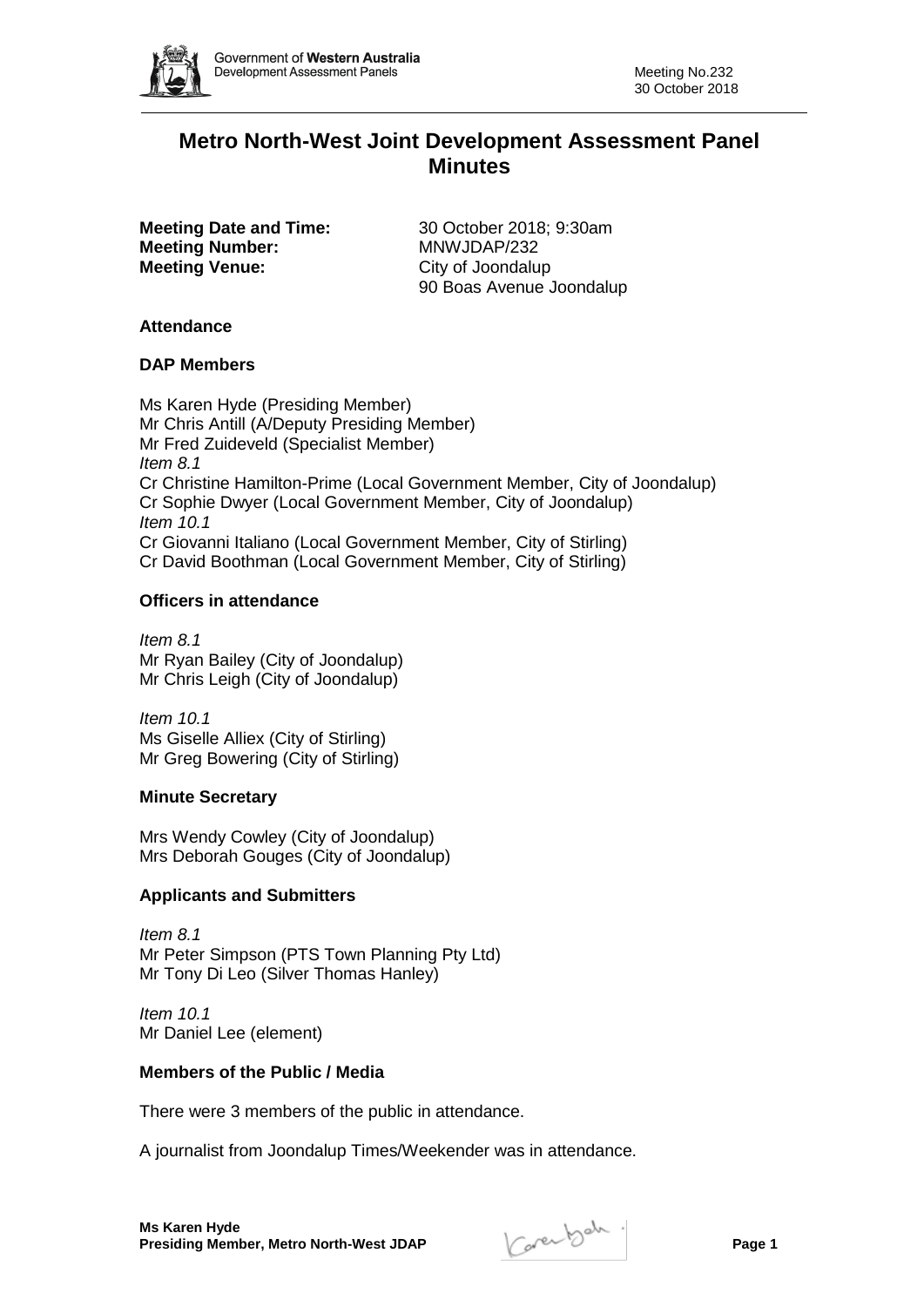

# **Metro North-West Joint Development Assessment Panel Minutes**

**Meeting Number:** MNWJDAP/232 **Meeting Venue:** City of Joondalup

**Meeting Date and Time:** 30 October 2018; 9:30am 90 Boas Avenue Joondalup

# **Attendance**

### **DAP Members**

Ms Karen Hyde (Presiding Member) Mr Chris Antill (A/Deputy Presiding Member) Mr Fred Zuideveld (Specialist Member) *Item 8.1* Cr Christine Hamilton-Prime (Local Government Member, City of Joondalup) Cr Sophie Dwyer (Local Government Member, City of Joondalup) *Item 10.1* Cr Giovanni Italiano (Local Government Member, City of Stirling) Cr David Boothman (Local Government Member, City of Stirling)

# **Officers in attendance**

*Item 8.1* Mr Ryan Bailey (City of Joondalup) Mr Chris Leigh (City of Joondalup)

*Item 10.1* Ms Giselle Alliex (City of Stirling) Mr Greg Bowering (City of Stirling)

# **Minute Secretary**

Mrs Wendy Cowley (City of Joondalup) Mrs Deborah Gouges (City of Joondalup)

# **Applicants and Submitters**

*Item 8.1* Mr Peter Simpson (PTS Town Planning Pty Ltd) Mr Tony Di Leo (Silver Thomas Hanley)

*Item 10.1* Mr Daniel Lee (element)

# **Members of the Public / Media**

There were 3 members of the public in attendance.

A journalist from Joondalup Times/Weekender was in attendance.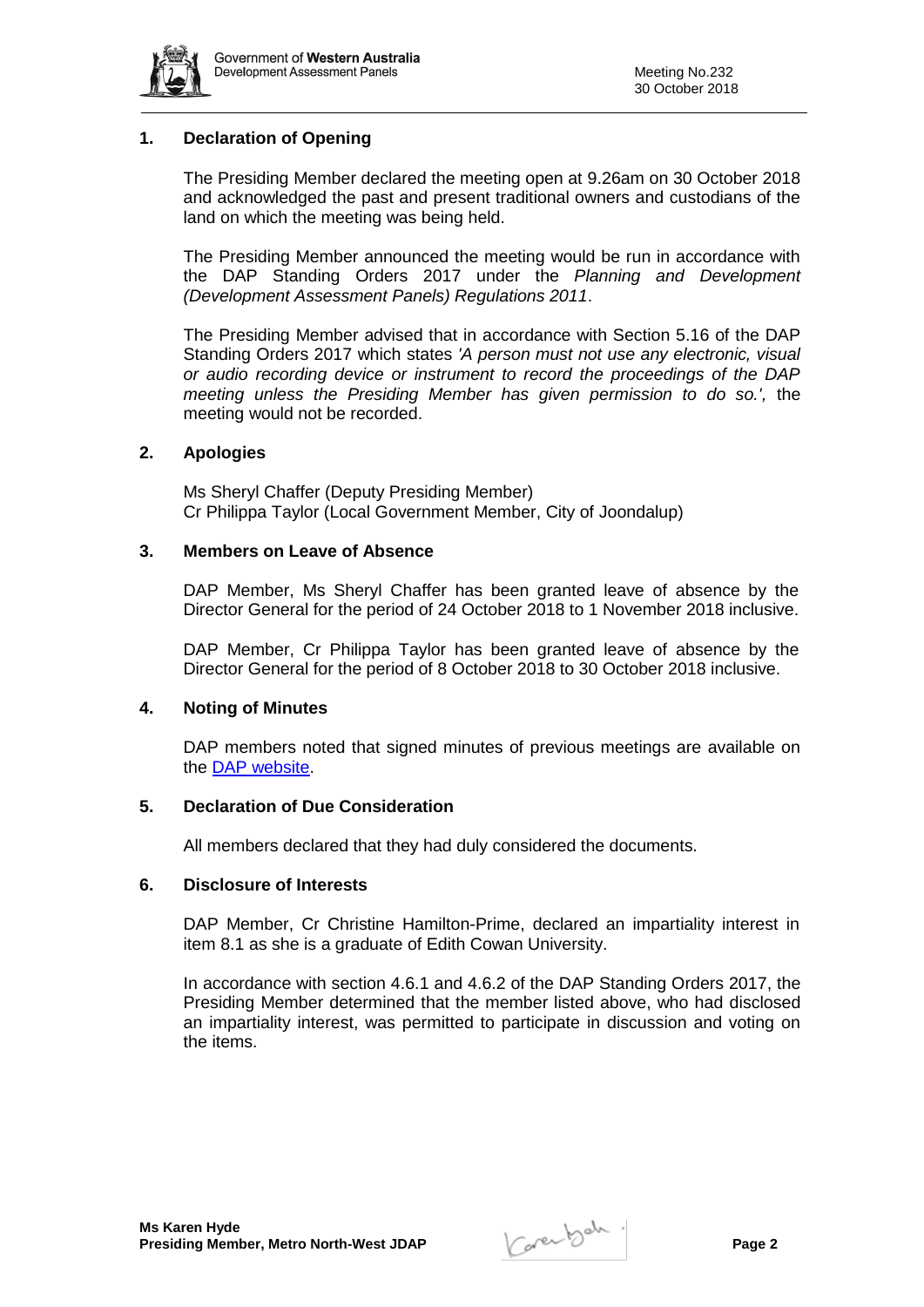

# **1. Declaration of Opening**

The Presiding Member declared the meeting open at 9.26am on 30 October 2018 and acknowledged the past and present traditional owners and custodians of the land on which the meeting was being held.

The Presiding Member announced the meeting would be run in accordance with the DAP Standing Orders 2017 under the *Planning and Development (Development Assessment Panels) Regulations 2011*.

The Presiding Member advised that in accordance with Section 5.16 of the DAP Standing Orders 2017 which states *'A person must not use any electronic, visual or audio recording device or instrument to record the proceedings of the DAP meeting unless the Presiding Member has given permission to do so.',* the meeting would not be recorded.

### **2. Apologies**

Ms Sheryl Chaffer (Deputy Presiding Member) Cr Philippa Taylor (Local Government Member, City of Joondalup)

# **3. Members on Leave of Absence**

DAP Member, Ms Sheryl Chaffer has been granted leave of absence by the Director General for the period of 24 October 2018 to 1 November 2018 inclusive.

DAP Member, Cr Philippa Taylor has been granted leave of absence by the Director General for the period of 8 October 2018 to 30 October 2018 inclusive.

#### **4. Noting of Minutes**

DAP members noted that signed minutes of previous meetings are available on the [DAP website.](https://www.planning.wa.gov.au/7578.aspx)

#### **5. Declaration of Due Consideration**

All members declared that they had duly considered the documents.

#### **6. Disclosure of Interests**

DAP Member, Cr Christine Hamilton-Prime, declared an impartiality interest in item 8.1 as she is a graduate of Edith Cowan University.

In accordance with section 4.6.1 and 4.6.2 of the DAP Standing Orders 2017, the Presiding Member determined that the member listed above, who had disclosed an impartiality interest, was permitted to participate in discussion and voting on the items.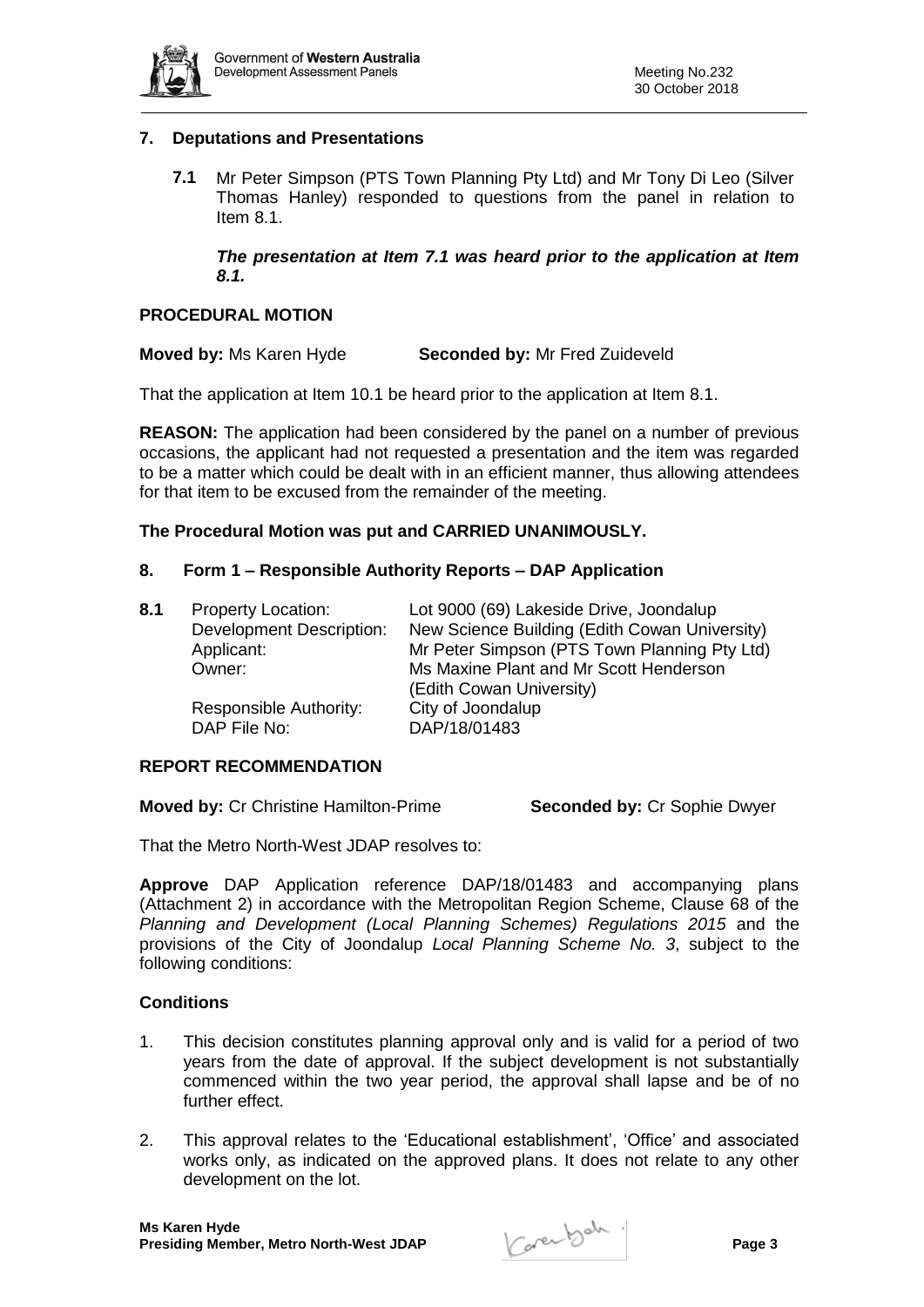

# **7. Deputations and Presentations**

**7.1** Mr Peter Simpson (PTS Town Planning Pty Ltd) and Mr Tony Di Leo (Silver Thomas Hanley) responded to questions from the panel in relation to Item 8.1.

*The presentation at Item 7.1 was heard prior to the application at Item 8.1.*

# **PROCEDURAL MOTION**

**Moved by:** Ms Karen Hyde **Seconded by:** Mr Fred Zuideveld

That the application at Item 10.1 be heard prior to the application at Item 8.1.

**REASON:** The application had been considered by the panel on a number of previous occasions, the applicant had not requested a presentation and the item was regarded to be a matter which could be dealt with in an efficient manner, thus allowing attendees for that item to be excused from the remainder of the meeting.

### **The Procedural Motion was put and CARRIED UNANIMOUSLY.**

### **8. Form 1 – Responsible Authority Reports – DAP Application**

| 8.1 | <b>Property Location:</b>       | Lot 9000 (69) Lakeside Drive, Joondalup       |
|-----|---------------------------------|-----------------------------------------------|
|     | <b>Development Description:</b> | New Science Building (Edith Cowan University) |
|     | Applicant:                      | Mr Peter Simpson (PTS Town Planning Pty Ltd)  |
|     | Owner:                          | Ms Maxine Plant and Mr Scott Henderson        |
|     |                                 | (Edith Cowan University)                      |
|     | Responsible Authority:          | City of Joondalup                             |
|     | DAP File No:                    | DAP/18/01483                                  |
|     |                                 |                                               |

#### **REPORT RECOMMENDATION**

**Moved by:** Cr Christine Hamilton-Prime **Seconded by:** Cr Sophie Dwyer

That the Metro North-West JDAP resolves to:

**Approve** DAP Application reference DAP/18/01483 and accompanying plans (Attachment 2) in accordance with the Metropolitan Region Scheme, Clause 68 of the *Planning and Development (Local Planning Schemes) Regulations 2015* and the provisions of the City of Joondalup *Local Planning Scheme No. 3*, subject to the following conditions:

# **Conditions**

- 1. This decision constitutes planning approval only and is valid for a period of two years from the date of approval. If the subject development is not substantially commenced within the two year period, the approval shall lapse and be of no further effect.
- 2. This approval relates to the 'Educational establishment', 'Office' and associated works only, as indicated on the approved plans. It does not relate to any other development on the lot.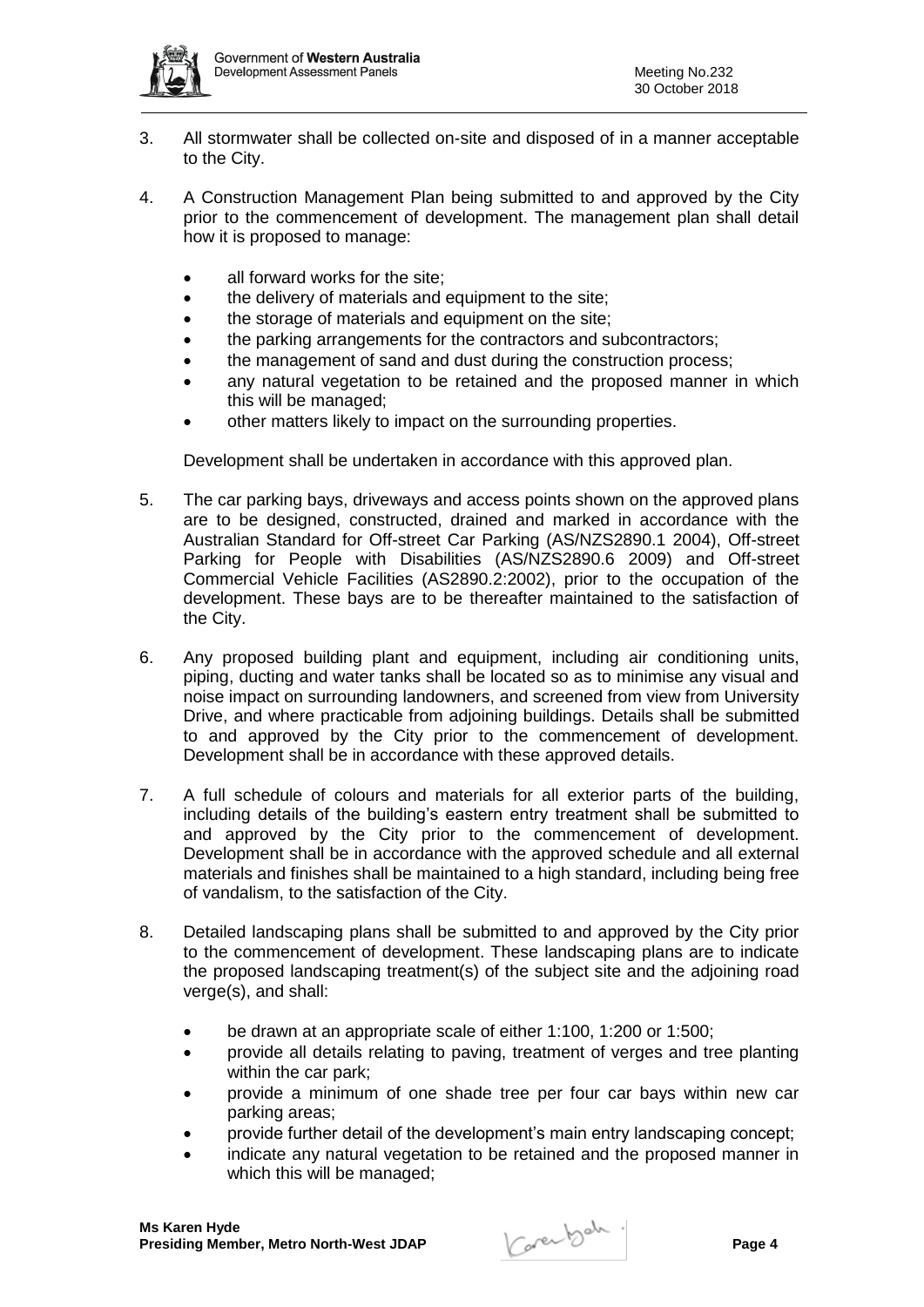

- 3. All stormwater shall be collected on-site and disposed of in a manner acceptable to the City.
- 4. A Construction Management Plan being submitted to and approved by the City prior to the commencement of development. The management plan shall detail how it is proposed to manage:
	- all forward works for the site;
	- the delivery of materials and equipment to the site;
	- the storage of materials and equipment on the site;
	- the parking arrangements for the contractors and subcontractors;
	- the management of sand and dust during the construction process;
	- any natural vegetation to be retained and the proposed manner in which this will be managed;
	- other matters likely to impact on the surrounding properties.

Development shall be undertaken in accordance with this approved plan.

- 5. The car parking bays, driveways and access points shown on the approved plans are to be designed, constructed, drained and marked in accordance with the Australian Standard for Off-street Car Parking (AS/NZS2890.1 2004), Off-street Parking for People with Disabilities (AS/NZS2890.6 2009) and Off-street Commercial Vehicle Facilities (AS2890.2:2002), prior to the occupation of the development. These bays are to be thereafter maintained to the satisfaction of the City.
- 6. Any proposed building plant and equipment, including air conditioning units, piping, ducting and water tanks shall be located so as to minimise any visual and noise impact on surrounding landowners, and screened from view from University Drive, and where practicable from adjoining buildings. Details shall be submitted to and approved by the City prior to the commencement of development. Development shall be in accordance with these approved details.
- 7. A full schedule of colours and materials for all exterior parts of the building, including details of the building's eastern entry treatment shall be submitted to and approved by the City prior to the commencement of development. Development shall be in accordance with the approved schedule and all external materials and finishes shall be maintained to a high standard, including being free of vandalism, to the satisfaction of the City.
- 8. Detailed landscaping plans shall be submitted to and approved by the City prior to the commencement of development. These landscaping plans are to indicate the proposed landscaping treatment(s) of the subject site and the adjoining road verge(s), and shall:
	- be drawn at an appropriate scale of either 1:100, 1:200 or 1:500;
	- provide all details relating to paving, treatment of verges and tree planting within the car park;
	- provide a minimum of one shade tree per four car bays within new car parking areas;
	- provide further detail of the development's main entry landscaping concept;
	- indicate any natural vegetation to be retained and the proposed manner in which this will be managed;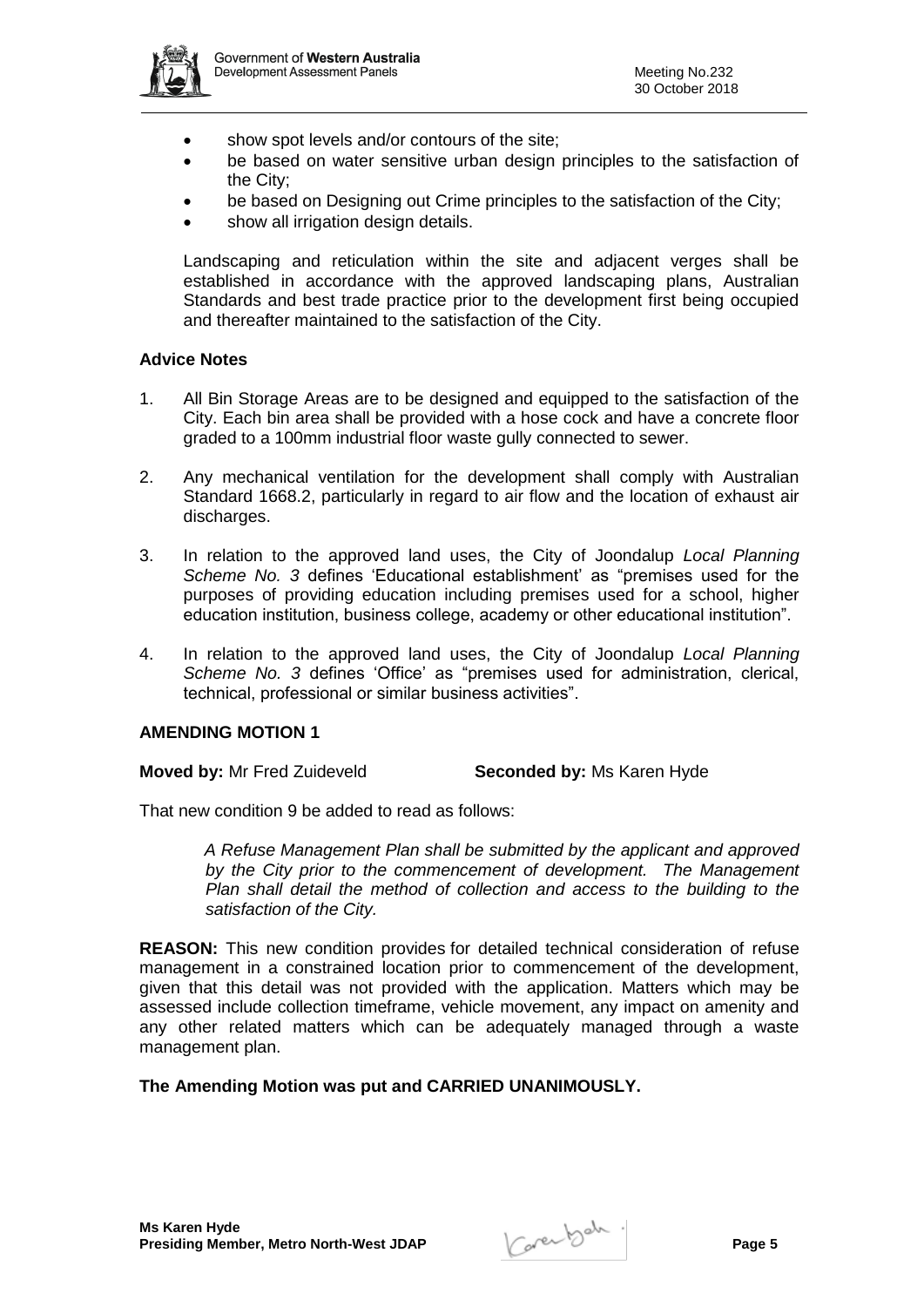

- show spot levels and/or contours of the site;
- be based on water sensitive urban design principles to the satisfaction of the City;
- be based on Designing out Crime principles to the satisfaction of the City;
- show all irrigation design details.

Landscaping and reticulation within the site and adjacent verges shall be established in accordance with the approved landscaping plans, Australian Standards and best trade practice prior to the development first being occupied and thereafter maintained to the satisfaction of the City.

### **Advice Notes**

- 1. All Bin Storage Areas are to be designed and equipped to the satisfaction of the City. Each bin area shall be provided with a hose cock and have a concrete floor graded to a 100mm industrial floor waste gully connected to sewer.
- 2. Any mechanical ventilation for the development shall comply with Australian Standard 1668.2, particularly in regard to air flow and the location of exhaust air discharges.
- 3. In relation to the approved land uses, the City of Joondalup *Local Planning Scheme No. 3* defines 'Educational establishment' as "premises used for the purposes of providing education including premises used for a school, higher education institution, business college, academy or other educational institution".
- 4. In relation to the approved land uses, the City of Joondalup *Local Planning Scheme No. 3* defines 'Office' as "premises used for administration, clerical, technical, professional or similar business activities".

#### **AMENDING MOTION 1**

**Moved by:** Mr Fred Zuideveld **Seconded by:** Ms Karen Hyde

That new condition 9 be added to read as follows:

*A Refuse Management Plan shall be submitted by the applicant and approved by the City prior to the commencement of development. The Management Plan shall detail the method of collection and access to the building to the satisfaction of the City.*

**REASON:** This new condition provides for detailed technical consideration of refuse management in a constrained location prior to commencement of the development, given that this detail was not provided with the application. Matters which may be assessed include collection timeframe, vehicle movement, any impact on amenity and any other related matters which can be adequately managed through a waste management plan.

# **The Amending Motion was put and CARRIED UNANIMOUSLY.**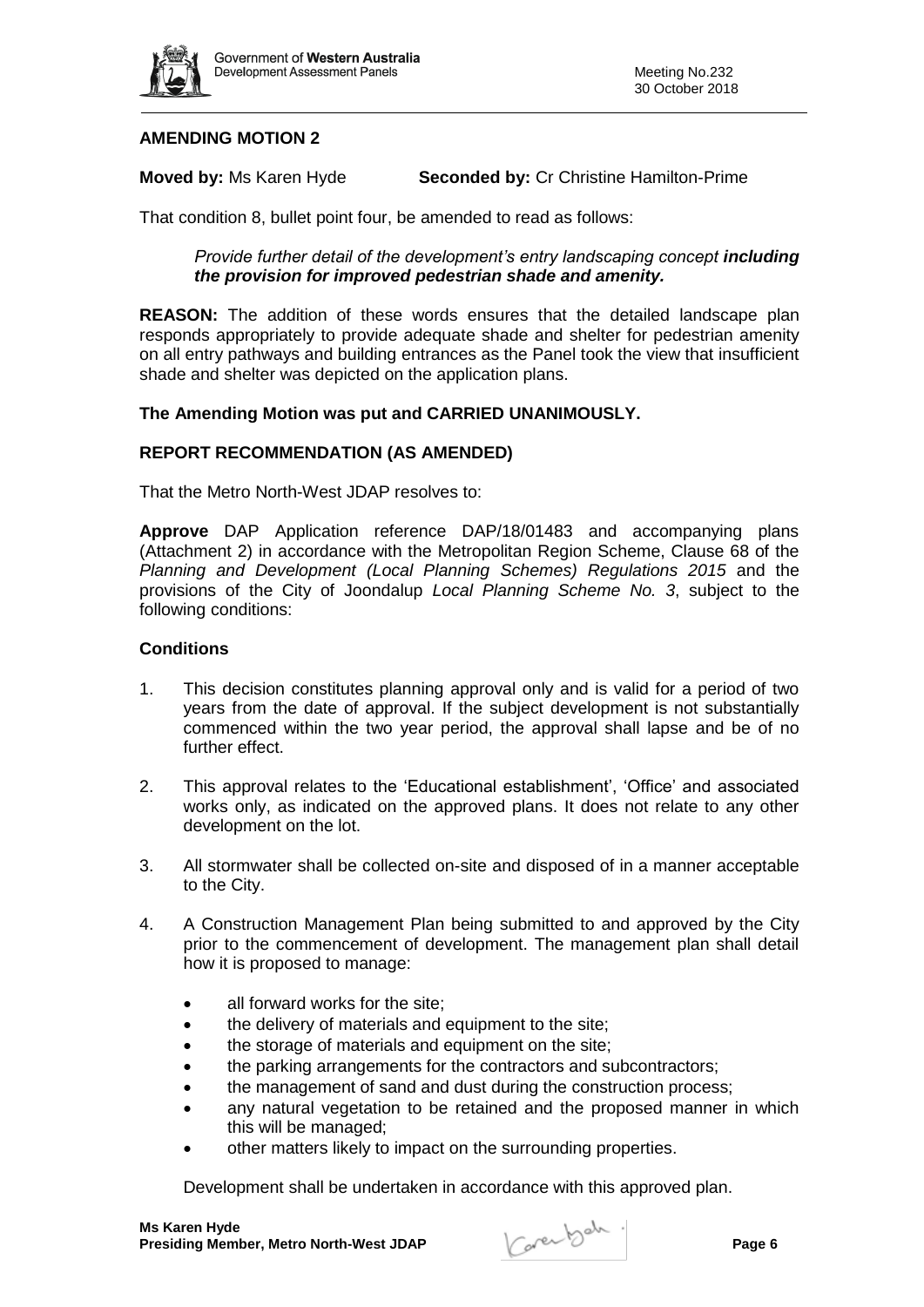

# **AMENDING MOTION 2**

**Moved by:** Ms Karen Hyde **Seconded by:** Cr Christine Hamilton-Prime

That condition 8, bullet point four, be amended to read as follows:

### *Provide further detail of the development's entry landscaping concept including the provision for improved pedestrian shade and amenity.*

**REASON:** The addition of these words ensures that the detailed landscape plan responds appropriately to provide adequate shade and shelter for pedestrian amenity on all entry pathways and building entrances as the Panel took the view that insufficient shade and shelter was depicted on the application plans.

### **The Amending Motion was put and CARRIED UNANIMOUSLY.**

### **REPORT RECOMMENDATION (AS AMENDED)**

That the Metro North-West JDAP resolves to:

**Approve** DAP Application reference DAP/18/01483 and accompanying plans (Attachment 2) in accordance with the Metropolitan Region Scheme, Clause 68 of the *Planning and Development (Local Planning Schemes) Regulations 2015* and the provisions of the City of Joondalup *Local Planning Scheme No. 3*, subject to the following conditions:

### **Conditions**

- 1. This decision constitutes planning approval only and is valid for a period of two years from the date of approval. If the subject development is not substantially commenced within the two year period, the approval shall lapse and be of no further effect.
- 2. This approval relates to the 'Educational establishment', 'Office' and associated works only, as indicated on the approved plans. It does not relate to any other development on the lot.
- 3. All stormwater shall be collected on-site and disposed of in a manner acceptable to the City.
- 4. A Construction Management Plan being submitted to and approved by the City prior to the commencement of development. The management plan shall detail how it is proposed to manage:
	- all forward works for the site;
	- the delivery of materials and equipment to the site;
	- the storage of materials and equipment on the site;
	- the parking arrangements for the contractors and subcontractors;
	- the management of sand and dust during the construction process;
	- any natural vegetation to be retained and the proposed manner in which this will be managed;
	- other matters likely to impact on the surrounding properties.

Development shall be undertaken in accordance with this approved plan.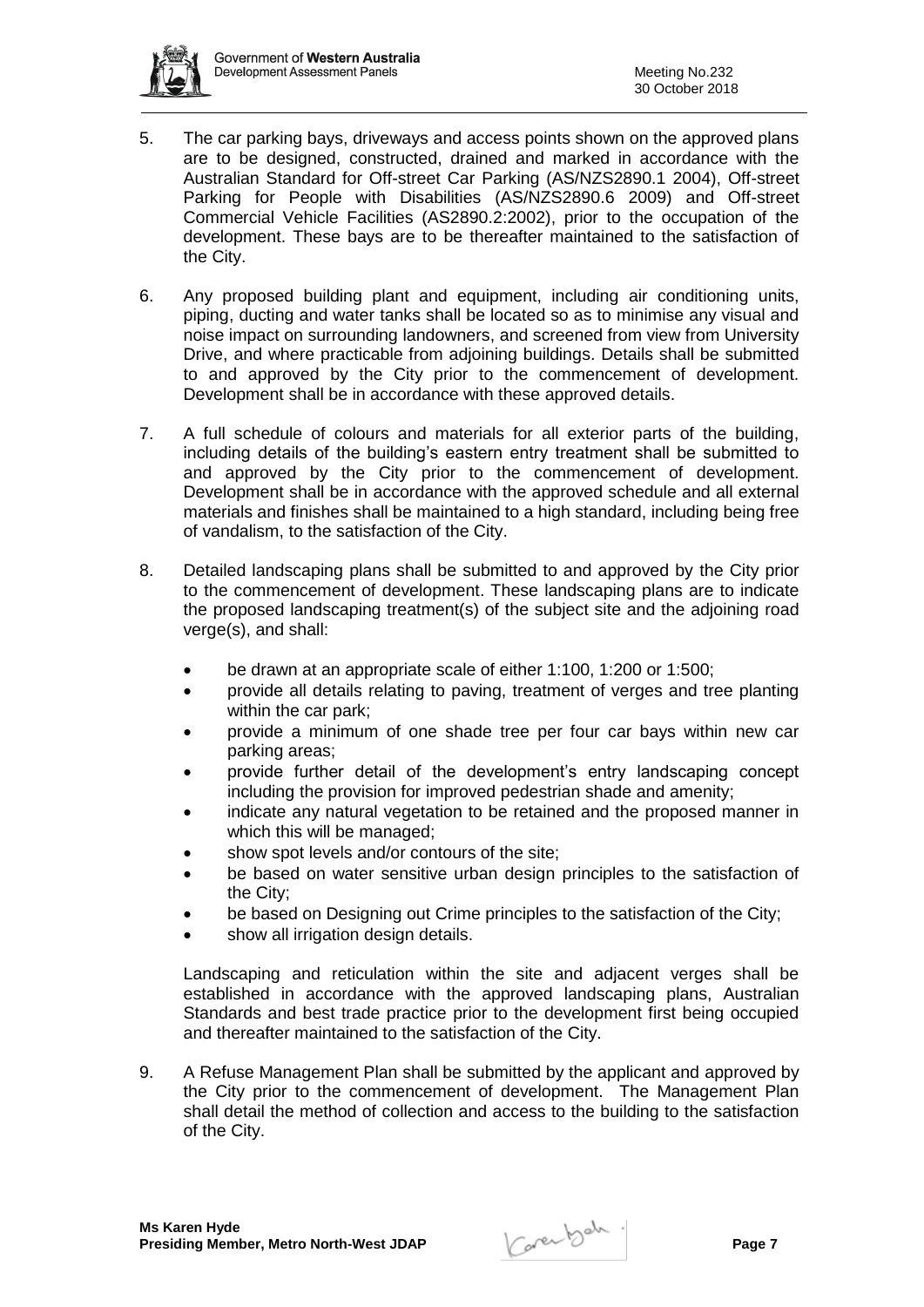

- 5. The car parking bays, driveways and access points shown on the approved plans are to be designed, constructed, drained and marked in accordance with the Australian Standard for Off-street Car Parking (AS/NZS2890.1 2004), Off-street Parking for People with Disabilities (AS/NZS2890.6 2009) and Off-street Commercial Vehicle Facilities (AS2890.2:2002), prior to the occupation of the development. These bays are to be thereafter maintained to the satisfaction of the City.
- 6. Any proposed building plant and equipment, including air conditioning units, piping, ducting and water tanks shall be located so as to minimise any visual and noise impact on surrounding landowners, and screened from view from University Drive, and where practicable from adjoining buildings. Details shall be submitted to and approved by the City prior to the commencement of development. Development shall be in accordance with these approved details.
- 7. A full schedule of colours and materials for all exterior parts of the building, including details of the building's eastern entry treatment shall be submitted to and approved by the City prior to the commencement of development. Development shall be in accordance with the approved schedule and all external materials and finishes shall be maintained to a high standard, including being free of vandalism, to the satisfaction of the City.
- 8. Detailed landscaping plans shall be submitted to and approved by the City prior to the commencement of development. These landscaping plans are to indicate the proposed landscaping treatment(s) of the subject site and the adjoining road verge(s), and shall:
	- be drawn at an appropriate scale of either 1:100, 1:200 or 1:500;
	- provide all details relating to paving, treatment of verges and tree planting within the car park;
	- provide a minimum of one shade tree per four car bays within new car parking areas;
	- provide further detail of the development's entry landscaping concept including the provision for improved pedestrian shade and amenity;
	- indicate any natural vegetation to be retained and the proposed manner in which this will be managed;
	- show spot levels and/or contours of the site;
	- be based on water sensitive urban design principles to the satisfaction of the City;
	- be based on Designing out Crime principles to the satisfaction of the City:
	- show all irrigation design details.

Landscaping and reticulation within the site and adjacent verges shall be established in accordance with the approved landscaping plans, Australian Standards and best trade practice prior to the development first being occupied and thereafter maintained to the satisfaction of the City.

9. A Refuse Management Plan shall be submitted by the applicant and approved by the City prior to the commencement of development. The Management Plan shall detail the method of collection and access to the building to the satisfaction of the City.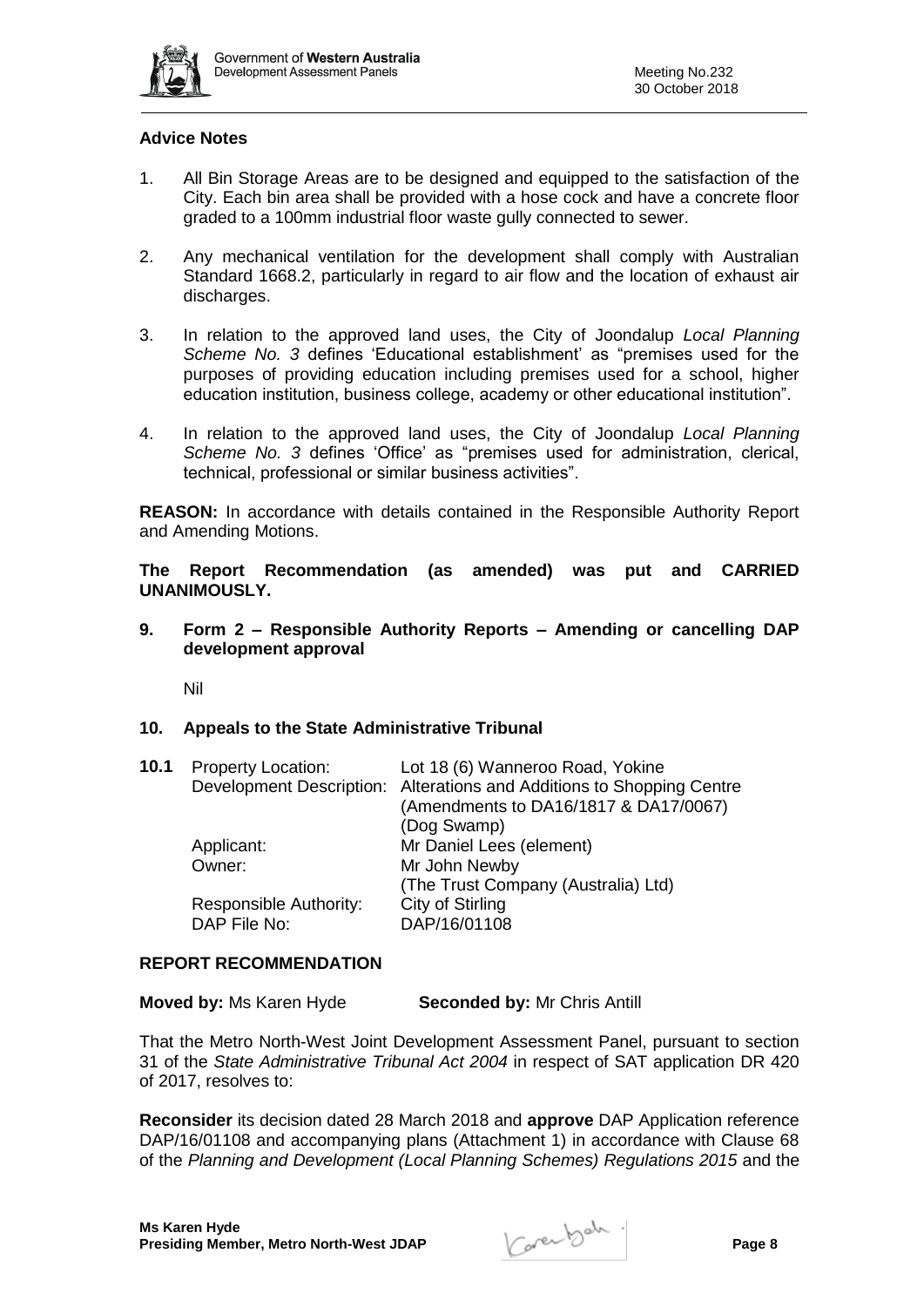

# **Advice Notes**

- 1. All Bin Storage Areas are to be designed and equipped to the satisfaction of the City. Each bin area shall be provided with a hose cock and have a concrete floor graded to a 100mm industrial floor waste gully connected to sewer.
- 2. Any mechanical ventilation for the development shall comply with Australian Standard 1668.2, particularly in regard to air flow and the location of exhaust air discharges.
- 3. In relation to the approved land uses, the City of Joondalup *Local Planning Scheme No. 3* defines 'Educational establishment' as "premises used for the purposes of providing education including premises used for a school, higher education institution, business college, academy or other educational institution".
- 4. In relation to the approved land uses, the City of Joondalup *Local Planning Scheme No. 3* defines 'Office' as "premises used for administration, clerical, technical, professional or similar business activities".

**REASON:** In accordance with details contained in the Responsible Authority Report and Amending Motions.

**The Report Recommendation (as amended) was put and CARRIED UNANIMOUSLY.**

**9. Form 2 – Responsible Authority Reports – Amending or cancelling DAP development approval**

Nil

#### **10. Appeals to the State Administrative Tribunal**

| 10.1 | <b>Property Location:</b>              | Lot 18 (6) Wanneroo Road, Yokine<br>Development Description: Alterations and Additions to Shopping Centre<br>(Amendments to DA16/1817 & DA17/0067) |
|------|----------------------------------------|----------------------------------------------------------------------------------------------------------------------------------------------------|
|      | Applicant:                             | (Dog Swamp)<br>Mr Daniel Lees (element)                                                                                                            |
|      | Owner:                                 | Mr John Newby<br>(The Trust Company (Australia) Ltd)                                                                                               |
|      | Responsible Authority:<br>DAP File No: | City of Stirling<br>DAP/16/01108                                                                                                                   |

#### **REPORT RECOMMENDATION**

| Moved by: Ms Karen Hyde | <b>Seconded by: Mr Chris Antill</b> |
|-------------------------|-------------------------------------|
|-------------------------|-------------------------------------|

That the Metro North-West Joint Development Assessment Panel, pursuant to section 31 of the *State Administrative Tribunal Act 2004* in respect of SAT application DR 420 of 2017, resolves to:

**Reconsider** its decision dated 28 March 2018 and **approve** DAP Application reference DAP/16/01108 and accompanying plans (Attachment 1) in accordance with Clause 68 of the *Planning and Development (Local Planning Schemes) Regulations 2015* and the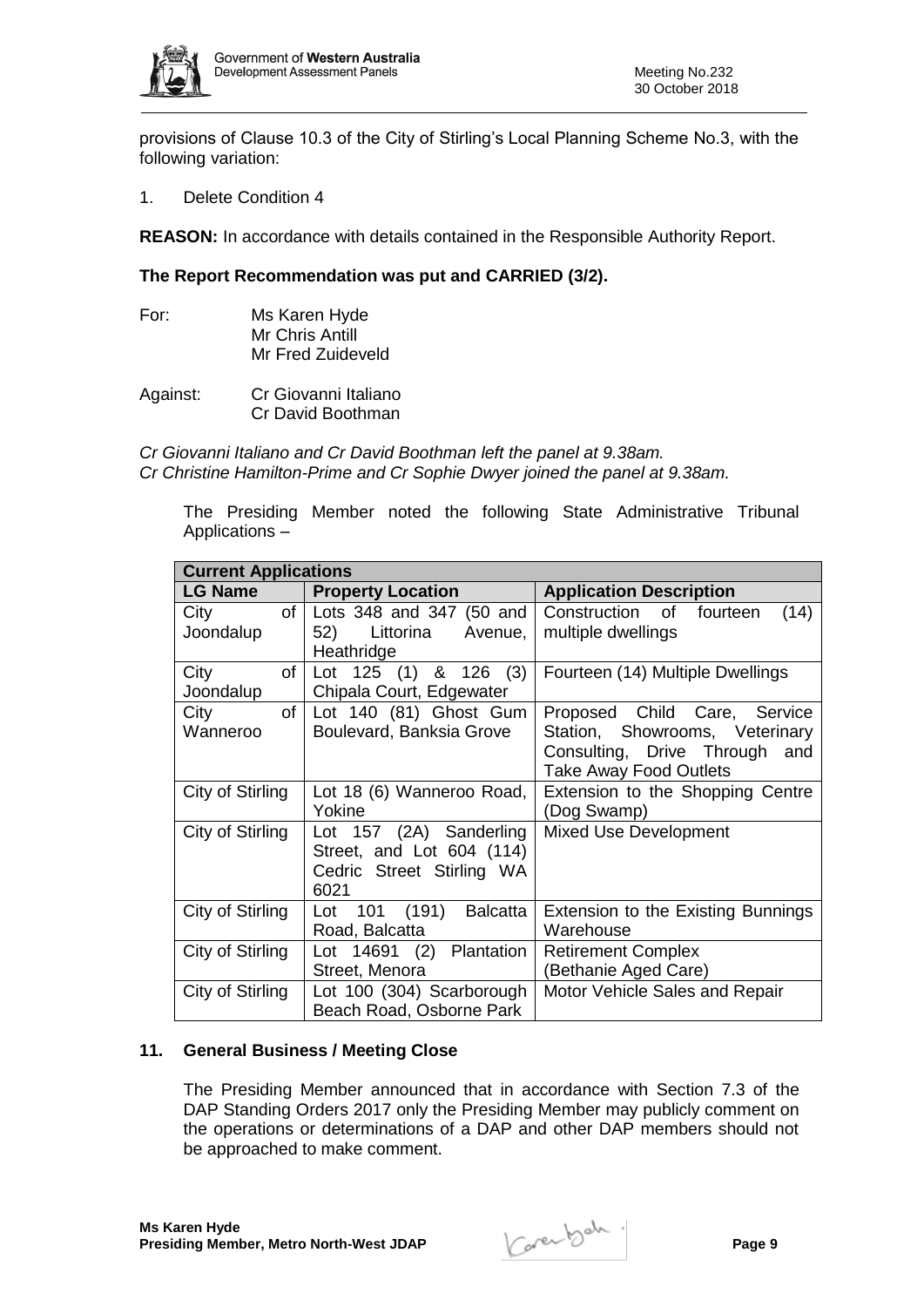

provisions of Clause 10.3 of the City of Stirling's Local Planning Scheme No.3, with the following variation:

1. Delete Condition 4

**REASON:** In accordance with details contained in the Responsible Authority Report.

# **The Report Recommendation was put and CARRIED (3/2).**

- For: Ms Karen Hyde Mr Chris Antill Mr Fred Zuideveld
- Against: Cr Giovanni Italiano Cr David Boothman

*Cr Giovanni Italiano and Cr David Boothman left the panel at 9.38am. Cr Christine Hamilton-Prime and Cr Sophie Dwyer joined the panel at 9.38am.*

The Presiding Member noted the following State Administrative Tribunal Applications –

| <b>Current Applications</b> |                           |                                    |  |  |  |  |
|-----------------------------|---------------------------|------------------------------------|--|--|--|--|
| LG Name                     | <b>Property Location</b>  | <b>Application Description</b>     |  |  |  |  |
| of<br>City                  | Lots 348 and 347 (50 and  | Construction of fourteen<br>(14)   |  |  |  |  |
| Joondalup                   | 52) Littorina Avenue,     | multiple dwellings                 |  |  |  |  |
|                             | Heathridge                |                                    |  |  |  |  |
| City<br>of                  | Lot 125 (1) & 126 (3)     | Fourteen (14) Multiple Dwellings   |  |  |  |  |
| Joondalup                   | Chipala Court, Edgewater  |                                    |  |  |  |  |
| of<br>City                  | Lot 140 (81) Ghost Gum    | Proposed Child Care, Service       |  |  |  |  |
| Wanneroo                    | Boulevard, Banksia Grove  | Station, Showrooms, Veterinary     |  |  |  |  |
|                             |                           | Consulting, Drive Through and      |  |  |  |  |
|                             |                           | Take Away Food Outlets             |  |  |  |  |
| City of Stirling            | Lot 18 (6) Wanneroo Road, | Extension to the Shopping Centre   |  |  |  |  |
|                             | Yokine                    | (Dog Swamp)                        |  |  |  |  |
| City of Stirling            | Lot 157 (2A) Sanderling   | <b>Mixed Use Development</b>       |  |  |  |  |
|                             | Street, and Lot 604 (114) |                                    |  |  |  |  |
|                             | Cedric Street Stirling WA |                                    |  |  |  |  |
|                             | 6021                      |                                    |  |  |  |  |
| City of Stirling            | 101 (191) Balcatta<br>Lot | Extension to the Existing Bunnings |  |  |  |  |
|                             | Road, Balcatta            | Warehouse                          |  |  |  |  |
| City of Stirling            | Lot 14691 (2) Plantation  | <b>Retirement Complex</b>          |  |  |  |  |
|                             | Street, Menora            | (Bethanie Aged Care)               |  |  |  |  |
| City of Stirling            | Lot 100 (304) Scarborough | Motor Vehicle Sales and Repair     |  |  |  |  |
|                             | Beach Road, Osborne Park  |                                    |  |  |  |  |

# **11. General Business / Meeting Close**

The Presiding Member announced that in accordance with Section 7.3 of the DAP Standing Orders 2017 only the Presiding Member may publicly comment on the operations or determinations of a DAP and other DAP members should not be approached to make comment.